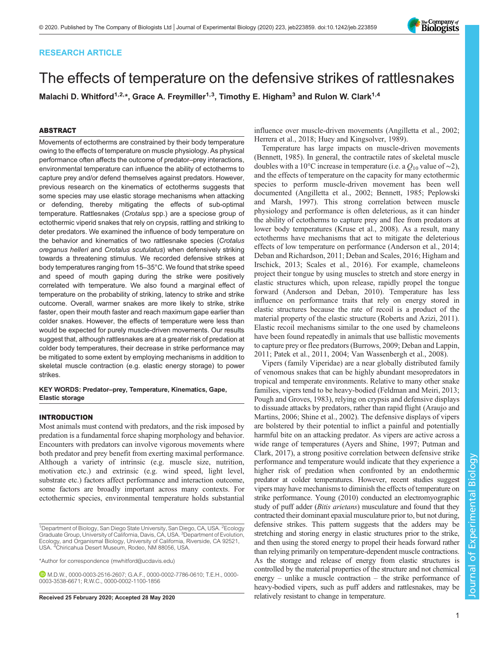# RESEARCH ARTICLE

# The effects of temperature on the defensive strikes of rattlesnakes

Malachi D. Whitford<sup>1,2,\*</sup>, Grace A. Freymiller<sup>1,3</sup>, Timothy E. Higham<sup>3</sup> and Rulon W. Clark<sup>1,4</sup>

# ABSTRACT

Movements of ectotherms are constrained by their body temperature owing to the effects of temperature on muscle physiology. As physical performance often affects the outcome of predator–prey interactions, environmental temperature can influence the ability of ectotherms to capture prey and/or defend themselves against predators. However, previous research on the kinematics of ectotherms suggests that some species may use elastic storage mechanisms when attacking or defending, thereby mitigating the effects of sub-optimal temperature. Rattlesnakes (Crotalus spp.) are a speciose group of ectothermic viperid snakes that rely on crypsis, rattling and striking to deter predators. We examined the influence of body temperature on the behavior and kinematics of two rattlesnake species (Crotalus oreganus helleri and Crotalus scutulatus) when defensively striking towards a threatening stimulus. We recorded defensive strikes at body temperatures ranging from 15–35°C. We found that strike speed and speed of mouth gaping during the strike were positively correlated with temperature. We also found a marginal effect of temperature on the probability of striking, latency to strike and strike outcome. Overall, warmer snakes are more likely to strike, strike faster, open their mouth faster and reach maximum gape earlier than colder snakes. However, the effects of temperature were less than would be expected for purely muscle-driven movements. Our results suggest that, although rattlesnakes are at a greater risk of predation at colder body temperatures, their decrease in strike performance may be mitigated to some extent by employing mechanisms in addition to skeletal muscle contraction (e.g. elastic energy storage) to power strikes.

KEY WORDS: Predator–prey, Temperature, Kinematics, Gape, Elastic storage

# INTRODUCTION

Most animals must contend with predators, and the risk imposed by predation is a fundamental force shaping morphology and behavior. Encounters with predators can involve vigorous movements where both predator and prey benefit from exerting maximal performance. Although a variety of intrinsic (e.g. muscle size, nutrition, motivation etc.) and extrinsic (e.g. wind speed, light level, substrate etc.) factors affect performance and interaction outcome, some factors are broadly important across many contexts. For ectothermic species, environmental temperature holds substantial

\*Author for correspondence [\(mwhitford@ucdavis.edu](mailto:mwhitford@ucdavis.edu))

M.D.W., [0000-0003-2516-2607](http://orcid.org/0000-0003-2516-2607); G.A.F., [0000-0002-7786-0610;](http://orcid.org/0000-0002-7786-0610) T.E.H., [0000-](http://orcid.org/0000-0003-3538-6671) [0003-3538-6671;](http://orcid.org/0000-0003-3538-6671) R.W.C., [0000-0002-1100-1856](http://orcid.org/0000-0002-1100-1856)

influence over muscle-driven movements ([Angilletta et al., 2002](#page-8-0); [Herrera et al., 2018](#page-8-0); [Huey and Kingsolver, 1989\)](#page-8-0).

Temperature has large impacts on muscle-driven movements [\(Bennett, 1985\)](#page-8-0). In general, the contractile rates of skeletal muscle doubles with a 10°C increase in temperature (i.e. a  $Q_{10}$  value of ~2), and the effects of temperature on the capacity for many ectothermic species to perform muscle-driven movement has been well documented ([Angilletta et al., 2002; Bennett, 1985; Peplowski](#page-8-0) [and Marsh, 1997](#page-8-0)). This strong correlation between muscle physiology and performance is often deleterious, as it can hinder the ability of ectotherms to capture prey and flee from predators at lower body temperatures [\(Kruse et al., 2008](#page-8-0)). As a result, many ectotherms have mechanisms that act to mitigate the deleterious effects of low temperature on performance [\(Anderson et al., 2014](#page-8-0); [Deban and Richardson, 2011](#page-8-0); [Deban and Scales, 2016; Higham and](#page-8-0) [Irschick, 2013; Scales et al., 2016](#page-8-0)). For example, chameleons project their tongue by using muscles to stretch and store energy in elastic structures which, upon release, rapidly propel the tongue forward ([Anderson and Deban, 2010](#page-8-0)). Temperature has less influence on performance traits that rely on energy stored in elastic structures because the rate of recoil is a product of the material property of the elastic structure ([Roberts and Azizi, 2011\)](#page-8-0). Elastic recoil mechanisms similar to the one used by chameleons have been found repeatedly in animals that use ballistic movements to capture prey or flee predators [\(Burrows, 2009; Deban and Lappin,](#page-8-0) [2011; Patek et al., 2011, 2004;](#page-8-0) [Van Wassenbergh et al., 2008](#page-9-0)).

Vipers (family Viperidae) are a near globally distributed family of venomous snakes that can be highly abundant mesopredators in tropical and temperate environments. Relative to many other snake families, vipers tend to be heavy-bodied ([Feldman and Meiri, 2013](#page-8-0); [Pough and Groves, 1983\)](#page-8-0), relying on crypsis and defensive displays to dissuade attacks by predators, rather than rapid flight [\(Araujo and](#page-8-0) [Martins, 2006; Shine et al., 2002](#page-8-0)). The defensive displays of vipers are bolstered by their potential to inflict a painful and potentially harmful bite on an attacking predator. As vipers are active across a wide range of temperatures [\(Ayers and Shine, 1997](#page-8-0); [Putman and](#page-8-0) [Clark, 2017\)](#page-8-0), a strong positive correlation between defensive strike performance and temperature would indicate that they experience a higher risk of predation when confronted by an endothermic predator at colder temperatures. However, recent studies suggest vipers may have mechanisms to diminish the effects of temperature on strike performance. [Young \(2010\)](#page-9-0) conducted an electromyographic study of puff adder (*Bitis arietans*) musculature and found that they contracted their dominant epaxial musculature prior to, but not during, defensive strikes. This pattern suggests that the adders may be stretching and storing energy in elastic structures prior to the strike, and then using the stored energy to propel their heads forward rather than relying primarily on temperature-dependent muscle contractions. As the storage and release of energy from elastic structures is controlled by the material properties of the structure and not chemical energy – unlike a muscle contraction – the strike performance of heavy-bodied vipers, such as puff adders and rattlesnakes, may be Received 25 February 2020; Accepted 28 May 2020 relatively resistant to change in temperature.



<sup>&</sup>lt;sup>1</sup>Department of Biology, San Diego State University, San Diego, CA, USA. <sup>2</sup>Ecology Graduate Group, University of California, Davis, CA, USA. <sup>3</sup> Department of Evolution, Ecology, and Organismal Biology, University of California, Riverside, CA 92521, USA. <sup>4</sup> Chiricahua Desert Museum, Rodeo, NM 88056, USA.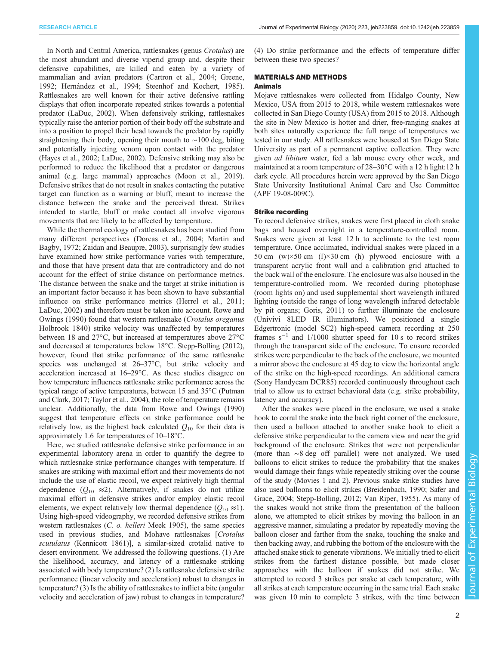In North and Central America, rattlesnakes (genus Crotalus) are the most abundant and diverse viperid group and, despite their defensive capabilities, are killed and eaten by a variety of mammalian and avian predators [\(Cartron et al., 2004](#page-8-0); [Greene,](#page-8-0) [1992](#page-8-0); [Hernández et al., 1994](#page-8-0); [Steenhof and Kochert, 1985\)](#page-8-0). Rattlesnakes are well known for their active defensive rattling displays that often incorporate repeated strikes towards a potential predator [\(LaDuc, 2002](#page-8-0)). When defensively striking, rattlesnakes typically raise the anterior portion of their body off the substrate and into a position to propel their head towards the predator by rapidly straightening their body, opening their mouth to ∼100 deg, biting and potentially injecting venom upon contact with the predator [\(Hayes et al., 2002; LaDuc, 2002\)](#page-8-0). Defensive striking may also be performed to reduce the likelihood that a predator or dangerous animal (e.g. large mammal) approaches [\(Moon et al., 2019\)](#page-8-0). Defensive strikes that do not result in snakes contacting the putative target can function as a warning or bluff, meant to increase the distance between the snake and the perceived threat. Strikes intended to startle, bluff or make contact all involve vigorous movements that are likely to be affected by temperature.

While the thermal ecology of rattlesnakes has been studied from many different perspectives [\(Dorcas et al., 2004](#page-8-0); [Martin and](#page-8-0) [Bagby, 1972;](#page-8-0) [Zaidan and Beaupre, 2003\)](#page-9-0), surprisingly few studies have examined how strike performance varies with temperature, and those that have present data that are contradictory and do not account for the effect of strike distance on performance metrics. The distance between the snake and the target at strike initiation is an important factor because it has been shown to have substantial influence on strike performance metrics ([Herrel et al., 2011](#page-8-0); [LaDuc, 2002\)](#page-8-0) and therefore must be taken into account. [Rowe and](#page-8-0) [Owings \(1990\)](#page-8-0) found that western rattlesnake (Crotalus oreganus Holbrook 1840) strike velocity was unaffected by temperatures between 18 and 27°C, but increased at temperatures above 27°C and decreased at temperatures below 18°C. [Stepp-Bolling \(2012\),](#page-8-0) however, found that strike performance of the same rattlesnake species was unchanged at 26–37°C, but strike velocity and acceleration increased at 16–29°C. As these studies disagree on how temperature influences rattlesnake strike performance across the typical range of active temperatures, between 15 and 35°C ([Putman](#page-8-0) [and Clark, 2017](#page-8-0); [Taylor et al., 2004\)](#page-9-0), the role of temperature remains unclear. Additionally, the data from [Rowe and Owings \(1990\)](#page-8-0) suggest that temperature effects on strike performance could be relatively low, as the highest back calculated  $Q_{10}$  for their data is approximately 1.6 for temperatures of 10–18°C.

Here, we studied rattlesnake defensive strike performance in an experimental laboratory arena in order to quantify the degree to which rattlesnake strike performance changes with temperature. If snakes are striking with maximal effort and their movements do not include the use of elastic recoil, we expect relatively high thermal dependence ( $Q_{10} \approx 2$ ). Alternatively, if snakes do not utilize maximal effort in defensive strikes and/or employ elastic recoil elements, we expect relatively low thermal dependence ( $Q_{10} \approx 1$ ). Using high-speed videography, we recorded defensive strikes from western rattlesnakes (C. o. helleri Meek 1905), the same species used in previous studies, and Mohave rattlesnakes [Crotalus scutulatus (Kennicott 1861)], a similar-sized crotalid native to desert environment. We addressed the following questions. (1) Are the likelihood, accuracy, and latency of a rattlesnake striking associated with body temperature? (2) Is rattlesnake defensive strike performance (linear velocity and acceleration) robust to changes in temperature? (3) Is the ability of rattlesnakes to inflict a bite (angular velocity and acceleration of jaw) robust to changes in temperature?

(4) Do strike performance and the effects of temperature differ between these two species?

### MATERIALS AND METHODS

#### Animals

Mojave rattlesnakes were collected from Hidalgo County, New Mexico, USA from 2015 to 2018, while western rattlesnakes were collected in San Diego County (USA) from 2015 to 2018. Although the site in New Mexico is hotter and drier, free-ranging snakes at both sites naturally experience the full range of temperatures we tested in our study. All rattlesnakes were housed at San Diego State University as part of a permanent captive collection. They were given ad libitum water, fed a lab mouse every other week, and maintained at a room temperature of 28–30°C with a 12 h light:12 h dark cycle. All procedures herein were approved by the San Diego State University Institutional Animal Care and Use Committee (APF 19-08-009C).

#### Strike recording

To record defensive strikes, snakes were first placed in cloth snake bags and housed overnight in a temperature-controlled room. Snakes were given at least 12 h to acclimate to the test room temperature. Once acclimated, individual snakes were placed in a 50 cm  $(w) \times 50$  cm  $(1) \times 30$  cm  $(h)$  plywood enclosure with a transparent acrylic front wall and a calibration grid attached to the back wall of the enclosure. The enclosure was also housed in the temperature-controlled room. We recorded during photophase (room lights on) and used supplemental short wavelength infrared lighting (outside the range of long wavelength infrared detectable by pit organs; [Goris, 2011\)](#page-8-0) to further illuminate the enclosure (Univivi 8LED IR illuminators). We positioned a single Edgertronic (model SC2) high-speed camera recording at 250 frames  $s^{-1}$  and 1/1000 shutter speed for 10 s to record strikes through the transparent side of the enclosure. To ensure recorded strikes were perpendicular to the back of the enclosure, we mounted a mirror above the enclosure at 45 deg to view the horizontal angle of the strike on the high-speed recordings. An additional camera (Sony Handycam DCR85) recorded continuously throughout each trial to allow us to extract behavioral data (e.g. strike probability, latency and accuracy).

After the snakes were placed in the enclosure, we used a snake hook to corral the snake into the back right corner of the enclosure, then used a balloon attached to another snake hook to elicit a defensive strike perpendicular to the camera view and near the grid background of the enclosure. Strikes that were not perpendicular (more than ∼8 deg off parallel) were not analyzed. We used balloons to elicit strikes to reduce the probability that the snakes would damage their fangs while repeatedly striking over the course of the study [\(Movies 1](http://movie.biologists.com/video/10.1242/jeb.223859/video-1) and [2\)](http://movie.biologists.com/video/10.1242/jeb.223859/video-2). Previous snake strike studies have also used balloons to elicit strikes ([Breidenbach, 1990; Safer and](#page-8-0) [Grace, 2004](#page-8-0); [Stepp-Bolling, 2012](#page-8-0); [Van Riper, 1955\)](#page-9-0). As many of the snakes would not strike from the presentation of the balloon alone, we attempted to elicit strikes by moving the balloon in an aggressive manner, simulating a predator by repeatedly moving the balloon closer and farther from the snake, touching the snake and then backing away, and rubbing the bottom of the enclosure with the attached snake stick to generate vibrations. We initially tried to elicit strikes from the farthest distance possible, but made closer approaches with the balloon if snakes did not strike. We attempted to record 3 strikes per snake at each temperature, with all strikes at each temperature occurring in the same trial. Each snake was given 10 min to complete 3 strikes, with the time between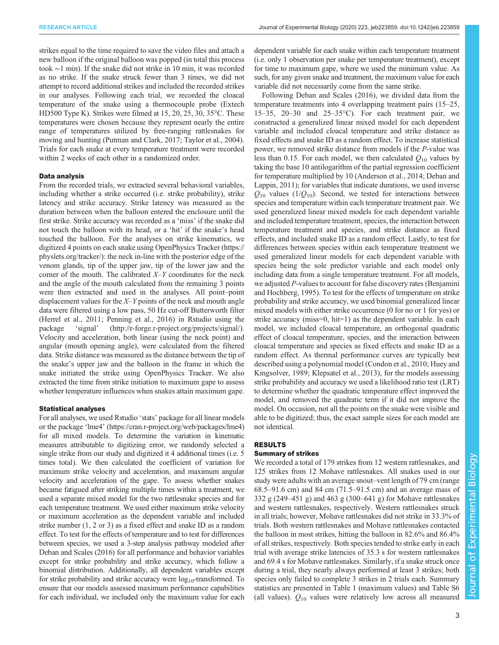strikes equal to the time required to save the video files and attach a new balloon if the original balloon was popped (in total this process took ∼1 min). If the snake did not strike in 10 min, it was recorded as no strike. If the snake struck fewer than 3 times, we did not attempt to record additional strikes and included the recorded strikes in our analyses. Following each trial, we recorded the cloacal temperature of the snake using a thermocouple probe (Extech HD500 Type K). Strikes were filmed at 15, 20, 25, 30, 35°C. These temperatures were chosen because they represent nearly the entire range of temperatures utilized by free-ranging rattlesnakes for moving and hunting [\(Putman and Clark, 2017;](#page-8-0) [Taylor et al., 2004\)](#page-9-0). Trials for each snake at every temperature treatment were recorded within 2 weeks of each other in a randomized order.

## Data analysis

From the recorded trials, we extracted several behavioral variables, including whether a strike occurred (i.e. strike probability), strike latency and strike accuracy. Strike latency was measured as the duration between when the balloon entered the enclosure until the first strike. Strike accuracy was recorded as a 'miss' if the snake did not touch the balloon with its head, or a 'hit' if the snake's head touched the balloon. For the analyses on strike kinematics, we digitized 4 points on each snake using OpenPhysics Tracker ([https://](https://physlets.org/tracker/) [physlets.org/tracker/](https://physlets.org/tracker/)): the neck in-line with the posterior edge of the venom glands, tip of the upper jaw, tip of the lower jaw and the corner of the mouth. The calibrated  $X-Y$  coordinates for the neck and the angle of the mouth calculated from the remaining 3 points were then extracted and used in the analyses. All point–point displacement values for the X–Y points of the neck and mouth angle data were filtered using a low pass, 50 Hz cut-off Butterworth filter [\(Herrel et al., 2011](#page-8-0); [Penning et al., 2016\)](#page-8-0) in Rstudio using the package 'signal' ([http://r-forge.r-project.org/projects/signal/\)](http://r-forge.r-project.org/projects/signal/). Velocity and acceleration, both linear (using the neck point) and angular (mouth opening angle), were calculated from the filtered data. Strike distance was measured as the distance between the tip of the snake's upper jaw and the balloon in the frame in which the snake initiated the strike using OpenPhysics Tracker. We also extracted the time from strike initiation to maximum gape to assess whether temperature influences when snakes attain maximum gape.

#### Statistical analyses

For all analyses, we used Rstudio 'stats' package for all linear models or the package 'lme4' [\(https://cran.r-project.org/web/packages/lme4\)](https://cran.r-project.org/web/packages/lme4/index.html) for all mixed models. To determine the variation in kinematic measures attributable to digitizing error, we randomly selected a single strike from our study and digitized it 4 additional times (i.e. 5 times total). We then calculated the coefficient of variation for maximum strike velocity and acceleration, and maximum angular velocity and acceleration of the gape. To assess whether snakes became fatigued after striking multiple times within a treatment, we used a separate mixed model for the two rattlesnake species and for each temperature treatment. We used either maximum strike velocity or maximum acceleration as the dependent variable and included strike number (1, 2 or 3) as a fixed effect and snake ID as a random effect. To test for the effects of temperature and to test for differences between species, we used a 3-step analysis pathway modeled after [Deban and Scales \(2016\)](#page-8-0) for all performance and behavior variables except for strike probability and strike accuracy, which follow a binomial distribution. Additionally, all dependent variables except for strike probability and strike accuracy were  $log_{10}$ -transformed. To ensure that our models assessed maximum performance capabilities for each individual, we included only the maximum value for each

dependent variable for each snake within each temperature treatment (i.e. only 1 observation per snake per temperature treatment), except for time to maximum gape, where we used the minimum value. As such, for any given snake and treatment, the maximum value for each variable did not necessarily come from the same strike.

Following [Deban and Scales \(2016\),](#page-8-0) we divided data from the temperature treatments into 4 overlapping treatment pairs (15–25, 15–35, 20–30 and 25–35 $^{\circ}$ C). For each treatment pair, we constructed a generalized linear mixed model for each dependent variable and included cloacal temperature and strike distance as fixed effects and snake ID as a random effect. To increase statistical power, we removed strike distance from models if the P-value was less than 0.15. For each model, we then calculated  $Q_{10}$  values by taking the base 10 antilogarithm of the partial regression coefficient for temperature multiplied by 10 [\(Anderson et al., 2014; Deban and](#page-8-0) [Lappin, 2011](#page-8-0)); for variables that indicate durations, we used inverse  $Q_{10}$  values (1/ $Q_{10}$ ). Second, we tested for interactions between species and temperature within each temperature treatment pair. We used generalized linear mixed models for each dependent variable and included temperature treatment, species, the interaction between temperature treatment and species, and strike distance as fixed effects, and included snake ID as a random effect. Lastly, to test for differences between species within each temperature treatment we used generalized linear models for each dependent variable with species being the sole predictor variable and each model only including data from a single temperature treatment. For all models, we adjusted P-values to account for false discovery rates ([Benjamini](#page-8-0) [and Hochberg, 1995](#page-8-0)). To test for the effects of temperature on strike probability and strike accuracy, we used binomial generalized linear mixed models with either strike occurrence (0 for no or 1 for yes) or strike accuracy (miss=0, hit=1) as the dependent variable. In each model, we included cloacal temperature, an orthogonal quadratic effect of cloacal temperature, species, and the interaction between cloacal temperature and species as fixed effects and snake ID as a random effect. As thermal performance curves are typically best described using a polynomial model [\(Condon et al., 2010](#page-8-0); [Huey and](#page-8-0) [Kingsolver, 1989; Klepsatel et al., 2013](#page-8-0)), for the models assessing strike probability and accuracy we used a likelihood ratio test (LRT) to determine whether the quadratic temperature effect improved the model, and removed the quadratic term if it did not improve the model. On occasion, not all the points on the snake were visible and able to be digitized; thus, the exact sample sizes for each model are not identical.

# RESULTS

# Summary of strikes

We recorded a total of 179 strikes from 12 western rattlesnakes, and 125 strikes from 12 Mohave rattlesnakes. All snakes used in our study were adults with an average snout–vent length of 79 cm (range 68.5–91.6 cm) and 84 cm (71.5–91.5 cm) and an average mass of 332 g (249–451 g) and 463 g (300–641 g) for Mohave rattlesnakes and western rattlesnakes, respectively. Western rattlesnakes struck in all trials; however, Mohave rattlesnakes did not strike in 33.3% of trials. Both western rattlesnakes and Mohave rattlesnakes contacted the balloon in most strikes, hitting the balloon in 82.6% and 86.4% of all strikes, respectively. Both species tended to strike early in each trial with average strike latencies of 35.3 s for western rattlesnakes and 69.4 s for Mohave rattlesnakes. Similarly, if a snake struck once during a trial, they nearly always performed at least 3 strikes; both species only failed to complete 3 strikes in 2 trials each. Summary statistics are presented in [Table 1](#page-3-0) (maximum values) and [Table S6](https://jeb.biologists.org/lookup/doi/10.1242/jeb.223859.supplemental) (all values).  $Q_{10}$  values were relatively low across all measured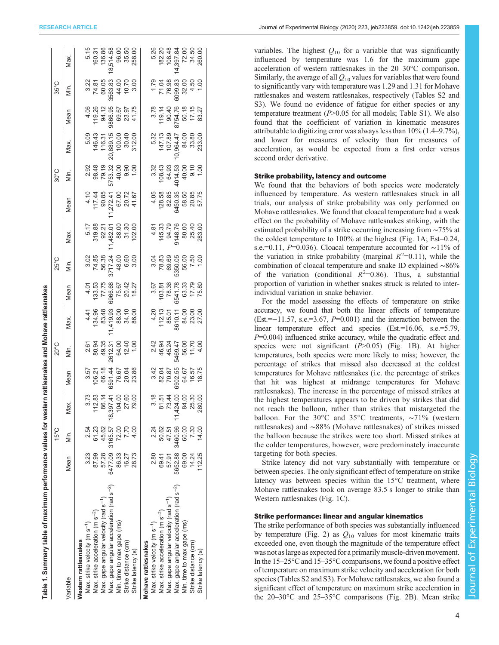<span id="page-3-0"></span>

|                                                       |                                                                                                                                                                                                                        | $15^{\circ}$ C |      |                                                           | 20°C                                                                       |                                                                               |                                                                                                           | 25°C                                                            |                                                                                                                |                                                                           | $30^{\circ}$ C                                                       |                                                               |                                                                                                     | 35°C                                                                                                      |                                                             |
|-------------------------------------------------------|------------------------------------------------------------------------------------------------------------------------------------------------------------------------------------------------------------------------|----------------|------|-----------------------------------------------------------|----------------------------------------------------------------------------|-------------------------------------------------------------------------------|-----------------------------------------------------------------------------------------------------------|-----------------------------------------------------------------|----------------------------------------------------------------------------------------------------------------|---------------------------------------------------------------------------|----------------------------------------------------------------------|---------------------------------------------------------------|-----------------------------------------------------------------------------------------------------|-----------------------------------------------------------------------------------------------------------|-------------------------------------------------------------|
| /ariable                                              | Mean                                                                                                                                                                                                                   | Sin.           | iax. | Mean                                                      | jin.                                                                       | Max.                                                                          | Mean                                                                                                      | Min.                                                            | Max.                                                                                                           | Mean                                                                      | in.                                                                  | Max.                                                          | Mean                                                                                                | Min.                                                                                                      | Max.                                                        |
| <b>Nestern rattlesnakes</b>                           |                                                                                                                                                                                                                        |                |      |                                                           |                                                                            |                                                                               |                                                                                                           |                                                                 |                                                                                                                |                                                                           |                                                                      |                                                               |                                                                                                     |                                                                                                           |                                                             |
| Max. strike velocity (m s <sup>-1</sup> )             |                                                                                                                                                                                                                        |                |      |                                                           |                                                                            |                                                                               |                                                                                                           |                                                                 |                                                                                                                |                                                                           |                                                                      |                                                               |                                                                                                     |                                                                                                           |                                                             |
| Max. strike acceleration (m s <sup>-2</sup> )         | $\begin{array}{cccc} 3.23 & 2.54 & 3.73 \\ 87.99 & 61.23 & 112.83 \\ 57.28 & 45.62 & 86.14 \\ 6477.09 & 3165.57 & 18.397.41 \\ 86.33 & 72.00 & 104.00 \\ 16.27 & 7.70 & 27.60 \\ 16.27 & 4.00 & 79.00 \\ \end{array}$  |                |      | 3.57<br>106.21<br>66.18<br>6591.44<br>73.86<br>23.386     | 2.61<br>80.94<br>80.95<br>2612.31<br>2612.90<br>12.40                      |                                                                               | $\begin{array}{r} 4.01 \\ 4.33.53 \\ 73.53 \\ 77.75 \\ 6966.68 \\ 75.67 \\ 79.62 \\ 79.27 \\ \end{array}$ | $74.88$ $74.88$ $75.77.24$ $85.371.24$ $60.00$ $371.24$ $60.00$ | $\begin{array}{r} 5.17 \\ 5.98 \\ 319.83 \\ 92.21 \\ 482.01 \\ 7.482.00 \\ 7.30 \\ 7.30 \\ 102.00 \end{array}$ | 4.10<br>117.272.41<br>12.72.241<br>10.00<br>11.67<br>10.1.94              | 2.92<br>98.48<br>98.72.32<br>99.93.93<br>57.82.99.00<br>1.00<br>1.00 | 5.09<br>146.43<br>116.31<br>100.00<br>10.00<br>30.40<br>30.40 | 4.06<br>119.26<br>54.12<br>54.12<br>55.57<br>55.175<br>41.75                                        | $74.87\n74.87\n60.03\n3563.83\n74.00\n74.87\n75.00\n76.00$                                                | $160.31\n160.31\n136.86\n136.30\n136.30\n365.00\n258.00$    |
| Max. gape angular velocity (rad s <sup>-1</sup> )     |                                                                                                                                                                                                                        |                |      |                                                           |                                                                            |                                                                               |                                                                                                           |                                                                 |                                                                                                                |                                                                           |                                                                      |                                                               |                                                                                                     |                                                                                                           |                                                             |
| Max. gape angular acceleration (rad s <sup>-2</sup> ) |                                                                                                                                                                                                                        |                |      |                                                           |                                                                            |                                                                               |                                                                                                           |                                                                 |                                                                                                                |                                                                           |                                                                      |                                                               |                                                                                                     |                                                                                                           |                                                             |
| Min. time to max gape (ms)                            |                                                                                                                                                                                                                        |                |      |                                                           |                                                                            |                                                                               |                                                                                                           |                                                                 |                                                                                                                |                                                                           |                                                                      |                                                               |                                                                                                     |                                                                                                           |                                                             |
| Strike distance (cm)                                  |                                                                                                                                                                                                                        |                |      |                                                           |                                                                            |                                                                               |                                                                                                           |                                                                 |                                                                                                                |                                                                           |                                                                      |                                                               |                                                                                                     |                                                                                                           |                                                             |
| Strike latency (s)                                    |                                                                                                                                                                                                                        |                |      |                                                           |                                                                            |                                                                               |                                                                                                           |                                                                 |                                                                                                                |                                                                           |                                                                      |                                                               |                                                                                                     |                                                                                                           |                                                             |
| Mohave rattlesnakes                                   |                                                                                                                                                                                                                        |                |      |                                                           |                                                                            |                                                                               |                                                                                                           |                                                                 |                                                                                                                |                                                                           |                                                                      |                                                               |                                                                                                     |                                                                                                           |                                                             |
| Max. strike velocity (m s <sup>-1</sup> )             |                                                                                                                                                                                                                        |                |      |                                                           |                                                                            |                                                                               |                                                                                                           |                                                                 |                                                                                                                |                                                                           |                                                                      |                                                               |                                                                                                     |                                                                                                           |                                                             |
| Max. strike acceleration (m s <sup>-2</sup> )         |                                                                                                                                                                                                                        |                |      |                                                           |                                                                            |                                                                               |                                                                                                           |                                                                 |                                                                                                                |                                                                           |                                                                      |                                                               |                                                                                                     |                                                                                                           |                                                             |
| Max. gape angular velocity (rad s <sup>-1</sup> )     |                                                                                                                                                                                                                        |                |      |                                                           |                                                                            |                                                                               |                                                                                                           |                                                                 |                                                                                                                |                                                                           |                                                                      |                                                               |                                                                                                     |                                                                                                           |                                                             |
| Max. gape angular acceleration (rad s <sup>-2</sup> ) |                                                                                                                                                                                                                        |                |      |                                                           |                                                                            |                                                                               |                                                                                                           |                                                                 |                                                                                                                |                                                                           |                                                                      |                                                               |                                                                                                     |                                                                                                           |                                                             |
| Min. time to max gape (ms)                            | $\begin{array}{cccc} 2.80 & 2.24 & 3.18 \\ 69.41 & 50.62 & 81.51 \\ 57.91 & 47.51 & 73.44 \\ 6652.88 & 3460.96 & 11,424.00 \\ 69.00 & 60.00 & 84.00 \\ 14.24 & 7.30 & 25.30 \\ 112.25 & 14.00 & 280.00 \\ \end{array}$ |                |      | 3.42<br>82.04<br>82.05<br>8302.55<br>8.75<br>8.75<br>8.75 | 2.42<br>46.94<br>46.947<br>46.947<br>2.42<br>42<br>42<br>42<br>42<br>43.94 | $4.20$<br>$112.13$<br>$85.01$<br>$8610.11$<br>$8610.11$<br>$84.00$<br>$23.00$ | $\begin{array}{r} 3.67 \\ 103.81 \\ 78.36 \\ 6541.78 \\ 63.33 \\ 17.79 \\ \end{array}$                    |                                                                 | $\begin{array}{r} 4.81 \\ 4.5.33 \\ 94.78 \\ 94.8 \\ 80.00 \\ 25.40 \\ 26.30 \\ 283.00 \\ \end{array}$         | $4.05$<br>$128.58$<br>$62.85$<br>$6450.35$<br>$50.85$<br>$50.85$<br>$715$ |                                                                      | 5.32<br>147.13<br>107.88<br>0.964.47<br>84.00<br>833.80       | $\begin{array}{r} 3.78 \\ 3.78 \\ 19.14 \\ 90.40 \\ 87.54.76 \\ 50.18 \\ 7.15 \\ 83.27 \end{array}$ | $7.79$<br>$71.04$<br>$76.98$<br>$76.98$<br>$76.98$<br>$76.98$<br>$76.90$<br>$76.90$<br>$76.90$<br>$76.90$ | 5.26<br>182.20<br>19397.84<br>14,397.80<br>260.00<br>260.00 |
| Strike distance (cm)                                  |                                                                                                                                                                                                                        |                |      |                                                           |                                                                            |                                                                               |                                                                                                           |                                                                 |                                                                                                                |                                                                           |                                                                      |                                                               |                                                                                                     |                                                                                                           |                                                             |
| Strike latency (s)                                    |                                                                                                                                                                                                                        |                |      |                                                           |                                                                            |                                                                               |                                                                                                           |                                                                 |                                                                                                                |                                                                           |                                                                      |                                                               |                                                                                                     |                                                                                                           |                                                             |
|                                                       |                                                                                                                                                                                                                        |                |      |                                                           |                                                                            |                                                                               |                                                                                                           |                                                                 |                                                                                                                |                                                                           |                                                                      |                                                               |                                                                                                     |                                                                                                           |                                                             |

variables. The highest  $Q_{10}$  for a variable that was significantly influenced by temperature was 1.6 for the maximum gape acceleration of western rattlesnakes in the 20–30°C comparison. Similarly, the average of all  $Q_{10}$  values for variables that were found to significantly vary with temperature was 1.29 and 1.31 for Mohave rattlesnakes and western rattlesnakes, respectively ([Tables S2 and](https://jeb.biologists.org/lookup/doi/10.1242/jeb.223859.supplemental) [S3\)](https://jeb.biologists.org/lookup/doi/10.1242/jeb.223859.supplemental). We found no evidence of fatigue for either species or any temperature treatment  $(P>0.05$  for all models; [Table S1\)](https://jeb.biologists.org/lookup/doi/10.1242/jeb.223859.supplemental). We also found that the coefficient of variation in kinematic measures attributable to digitizing error was always less than 10% (1.4–9.7%), and lower for measures of velocity than for measures of acceleration, as would be expected from a first order versus second order derivative.

## Strike probability, latency and outcome

We found that the behaviors of both species were moderately influenced by temperature. As western rattlesnakes struck in all trials, our analysis of strike probability was only performed on Mohave rattlesnakes. We found that cloacal temperature had a weak effect on the probability of Mohave rattlesnakes striking, with the estimated probability of a strike occurring increasing from ∼75% at the coldest temperature to 100% at the highest [\(Fig. 1A](#page-4-0); Est=0.24, s.e.=0.11, P=0.036). Cloacal temperature accounted for ~11% of the variation in strike probability (marginal  $R^2=0.11$ ), while the combination of cloacal temperature and snake ID explained ∼86% of the variation (conditional  $R^2=0.86$ ). Thus, a substantial proportion of variation in whether snakes struck is related to interindividual variation in snake behavior.

For the model assessing the effects of temperature on strike accuracy, we found that both the linear effects of temperature (Est.=−11.57, s.e.=3.67, P=0.001) and the interaction between the linear temperature effect and species (Est.=16.06, s.e.=5.79,  $P=0.004$ ) influenced strike accuracy, while the quadratic effect and species were not significant  $(P>0.05)$  ([Fig. 1](#page-4-0)B). At higher temperatures, both species were more likely to miss; however, the percentage of strikes that missed also decreased at the coldest temperatures for Mohave rattlesnakes (i.e. the percentage of strikes that hit was highest at midrange temperatures for Mohave rattlesnakes). The increase in the percentage of missed strikes at the highest temperatures appears to be driven by strikes that did not reach the balloon, rather than strikes that mistargeted the balloon. For the 30°C and 35°C treatments, ∼71% (western rattlesnakes) and ∼88% (Mohave rattlesnakes) of strikes missed the balloon because the strikes were too short. Missed strikes at the colder temperatures, however, were predominately inaccurate targeting for both species.

Strike latency did not vary substantially with temperature or between species. The only significant effect of temperature on strike latency was between species within the 15°C treatment, where Mohave rattlesnakes took on average 83.5 s longer to strike than Western rattlesnakes ([Fig. 1](#page-4-0)C).

# Strike performance: linear and angular kinematics

The strike performance of both species was substantially influenced by temperature [\(Fig. 2](#page-4-0)) as  $Q_{10}$  values for most kinematic traits exceeded one, even though the magnitude of the temperature effect was not as large as expected for a primarily muscle-driven movement. In the 15–25°C and 15–35°C comparisons, we found a positive effect of temperature on maximum strike velocity and acceleration for both species ([Tables S2 and S3\)](https://jeb.biologists.org/lookup/doi/10.1242/jeb.223859.supplemental). For Mohave rattlesnakes, we also found a significant effect of temperature on maximum strike acceleration in the 20–30°C and 25–35°C comparisons [\(Fig. 2B](#page-4-0)). Mean strike

Table 1. Summary table of maximum performance values for western rattlesnakes and Mohave rattlesnakes

Table 1. Summary table of maximum performance values for western rattlesnakes and Mohave rattlesnakes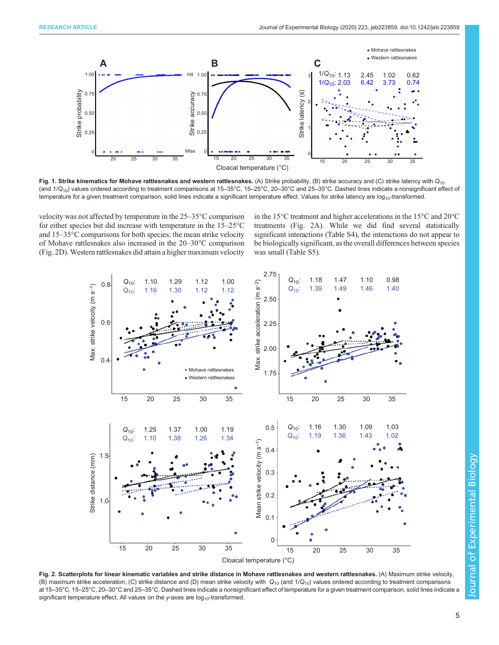<span id="page-4-0"></span>

Fig. 1. Strike kinematics for Mohave rattlesnakes and western rattlesnakes. (A) Strike probability, (B) strike accuracy and (C) strike latency with  $Q_{10}$ (and  $1/Q_{10}$ ) values ordered according to treatment comparisons at 15–35°C, 15–25°C, 20–30°C and 25–35°C. Dashed lines indicate a nonsignificant effect of temperature for a given treatment comparison, solid lines indicate a significant temperature effect. Values for strike latency are log<sub>10</sub>-transformed.

velocity was not affected by temperature in the 25–35°C comparison for either species but did increase with temperature in the 15–25°C and 15–35°C comparisons for both species; the mean strike velocity of Mohave rattlesnakes also increased in the 20–30°C comparison (Fig. 2D). Western rattlesnakes did attain a higher maximum velocity in the 15°C treatment and higher accelerations in the 15°C and 20°C treatments (Fig. 2A). While we did find several statistically significant interactions [\(Table S4\)](https://jeb.biologists.org/lookup/doi/10.1242/jeb.223859.supplemental), the interactions do not appear to be biologically significant, as the overall differences between species was small [\(Table S5\)](https://jeb.biologists.org/lookup/doi/10.1242/jeb.223859.supplemental).



Fig. 2. Scatterplots for linear kinematic variables and strike distance in Mohave rattlesnakes and western rattlesnakes. (A) Maximum strike velocity, (B) maximum strike acceleration, (C) strike distance and (D) mean strike velocity with  $Q_{10}$  (and  $1/Q_{10}$ ) values ordered according to treatment comparisons at 15–35°C, 15–25°C, 20–30°C and 25–35°C. Dashed lines indicate a nonsignificant effect of temperature for a given treatment comparison, solid lines indicate a significant temperature effect. All values on the y-axes are  $log_{10}$ -transformed.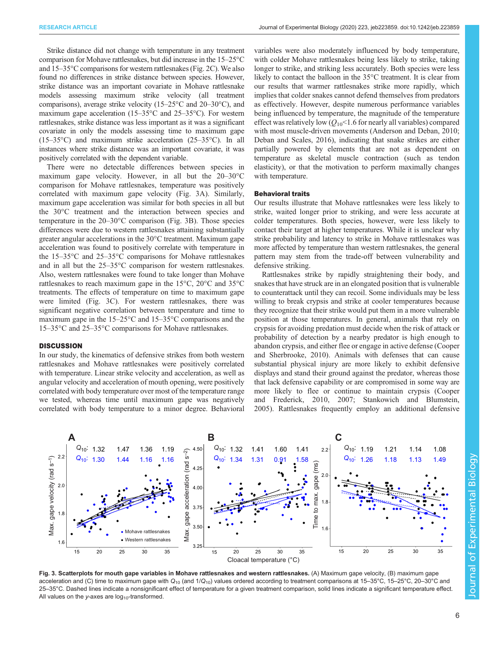Strike distance did not change with temperature in any treatment comparison for Mohave rattlesnakes, but did increase in the 15–25°C and 15–35°C comparisons for western rattlesnakes [\(Fig. 2](#page-4-0)C). We also found no differences in strike distance between species. However, strike distance was an important covariate in Mohave rattlesnake models assessing maximum strike velocity (all treatment comparisons), average strike velocity (15–25°C and 20–30°C), and maximum gape acceleration (15–35°C and 25–35°C). For western rattlesnakes, strike distance was less important as it was a significant covariate in only the models assessing time to maximum gape (15–35°C) and maximum strike acceleration (25–35°C). In all instances where strike distance was an important covariate, it was positively correlated with the dependent variable.

There were no detectable differences between species in maximum gape velocity. However, in all but the 20–30°C comparison for Mohave rattlesnakes, temperature was positively correlated with maximum gape velocity (Fig. 3A). Similarly, maximum gape acceleration was similar for both species in all but the 30°C treatment and the interaction between species and temperature in the 20–30°C comparison (Fig. 3B). Those species differences were due to western rattlesnakes attaining substantially greater angular accelerations in the 30°C treatment. Maximum gape acceleration was found to positively correlate with temperature in the 15–35°C and 25–35°C comparisons for Mohave rattlesnakes and in all but the 25–35°C comparison for western rattlesnakes. Also, western rattlesnakes were found to take longer than Mohave rattlesnakes to reach maximum gape in the 15°C, 20°C and 35°C treatments. The effects of temperature on time to maximum gape were limited (Fig. 3C). For western rattlesnakes, there was significant negative correlation between temperature and time to maximum gape in the 15–25°C and 15–35°C comparisons and the 15–35°C and 25–35°C comparisons for Mohave rattlesnakes.

#### **DISCUSSION**

In our study, the kinematics of defensive strikes from both western rattlesnakes and Mohave rattlesnakes were positively correlated with temperature. Linear strike velocity and acceleration, as well as angular velocity and acceleration of mouth opening, were positively correlated with body temperature over most of the temperature range we tested, whereas time until maximum gape was negatively correlated with body temperature to a minor degree. Behavioral

variables were also moderately influenced by body temperature, with colder Mohave rattlesnakes being less likely to strike, taking longer to strike, and striking less accurately. Both species were less likely to contact the balloon in the 35°C treatment. It is clear from our results that warmer rattlesnakes strike more rapidly, which implies that colder snakes cannot defend themselves from predators as effectively. However, despite numerous performance variables being influenced by temperature, the magnitude of the temperature effect was relatively low  $(Q_{10} < 1.6$  for nearly all variables) compared with most muscle-driven movements [\(Anderson and Deban, 2010](#page-8-0); [Deban and Scales, 2016\)](#page-8-0), indicating that snake strikes are either partially powered by elements that are not as dependent on temperature as skeletal muscle contraction (such as tendon elasticity), or that the motivation to perform maximally changes with temperature.

# Behavioral traits

Our results illustrate that Mohave rattlesnakes were less likely to strike, waited longer prior to striking, and were less accurate at colder temperatures. Both species, however, were less likely to contact their target at higher temperatures. While it is unclear why strike probability and latency to strike in Mohave rattlesnakes was more affected by temperature than western rattlesnakes, the general pattern may stem from the trade-off between vulnerability and defensive striking.

Rattlesnakes strike by rapidly straightening their body, and snakes that have struck are in an elongated position that is vulnerable to counterattack until they can recoil. Some individuals may be less willing to break crypsis and strike at cooler temperatures because they recognize that their strike would put them in a more vulnerable position at those temperatures. In general, animals that rely on crypsis for avoiding predation must decide when the risk of attack or probability of detection by a nearby predator is high enough to abandon crypsis, and either flee or engage in active defense [\(Cooper](#page-8-0) [and Sherbrooke, 2010](#page-8-0)). Animals with defenses that can cause substantial physical injury are more likely to exhibit defensive displays and stand their ground against the predator, whereas those that lack defensive capability or are compromised in some way are more likely to flee or continue to maintain crypsis [\(Cooper](#page-8-0) [and Frederick, 2010](#page-8-0), [2007](#page-8-0); [Stankowich and Blumstein,](#page-8-0) [2005\)](#page-8-0). Rattlesnakes frequently employ an additional defensive



Fig. 3. Scatterplots for mouth gape variables in Mohave rattlesnakes and western rattlesnakes. (A) Maximum gape velocity, (B) maximum gape acceleration and (C) time to maximum gape with  $Q_{10}$  (and  $1/Q_{10}$ ) values ordered according to treatment comparisons at 15-35°C, 15-25°C, 20-30°C and 25–35°C. Dashed lines indicate a nonsignificant effect of temperature for a given treatment comparison, solid lines indicate a significant temperature effect. All values on the y-axes are  $log_{10}$ -transformed.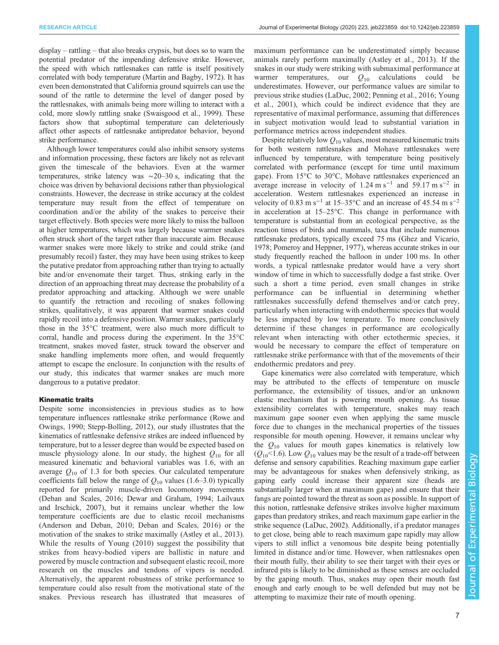display – rattling – that also breaks crypsis, but does so to warn the potential predator of the impending defensive strike. However, the speed with which rattlesnakes can rattle is itself positively correlated with body temperature [\(Martin and Bagby, 1972](#page-8-0)). It has even been demonstrated that California ground squirrels can use the sound of the rattle to determine the level of danger posed by the rattlesnakes, with animals being more willing to interact with a cold, more slowly rattling snake [\(Swaisgood et al., 1999\)](#page-9-0). These factors show that suboptimal temperature can deleteriously affect other aspects of rattlesnake antipredator behavior, beyond strike performance.

Although lower temperatures could also inhibit sensory systems and information processing, these factors are likely not as relevant given the timescale of the behaviors. Even at the warmer temperatures, strike latency was ∼20–30 s, indicating that the choice was driven by behavioral decisions rather than physiological constraints. However, the decrease in strike accuracy at the coldest temperature may result from the effect of temperature on coordination and/or the ability of the snakes to perceive their target effectively. Both species were more likely to miss the balloon at higher temperatures, which was largely because warmer snakes often struck short of the target rather than inaccurate aim. Because warmer snakes were more likely to strike and could strike (and presumably recoil) faster, they may have been using strikes to keep the putative predator from approaching rather than trying to actually bite and/or envenomate their target. Thus, striking early in the direction of an approaching threat may decrease the probability of a predator approaching and attacking. Although we were unable to quantify the retraction and recoiling of snakes following strikes, qualitatively, it was apparent that warmer snakes could rapidly recoil into a defensive position. Warmer snakes, particularly those in the 35°C treatment, were also much more difficult to corral, handle and process during the experiment. In the 35°C treatment, snakes moved faster, struck toward the observer and snake handling implements more often, and would frequently attempt to escape the enclosure. In conjunction with the results of our study, this indicates that warmer snakes are much more dangerous to a putative predator.

## Kinematic traits

Despite some inconsistencies in previous studies as to how temperature influences rattlesnake strike performance ([Rowe and](#page-8-0) [Owings, 1990; Stepp-Bolling, 2012](#page-8-0)), our study illustrates that the kinematics of rattlesnake defensive strikes are indeed influenced by temperature, but to a lesser degree than would be expected based on muscle physiology alone. In our study, the highest  $Q_{10}$  for all measured kinematic and behavioral variables was 1.6, with an average  $Q_{10}$  of 1.3 for both species. Our calculated temperature coefficients fall below the range of  $Q_{10}$  values (1.6–3.0) typically reported for primarily muscle-driven locomotory movements [\(Deban and Scales, 2016; Dewar and Graham, 1994](#page-8-0); [Lailvaux](#page-8-0) [and Irschick, 2007\)](#page-8-0), but it remains unclear whether the low temperature coefficients are due to elastic recoil mechanisms [\(Anderson and Deban, 2010](#page-8-0); [Deban and Scales, 2016\)](#page-8-0) or the motivation of the snakes to strike maximally [\(Astley et al., 2013\)](#page-8-0). While the results of [Young \(2010\)](#page-9-0) suggest the possibility that strikes from heavy-bodied vipers are ballistic in nature and powered by muscle contraction and subsequent elastic recoil, more research on the muscles and tendons of vipers is needed. Alternatively, the apparent robustness of strike performance to temperature could also result from the motivational state of the snakes. Previous research has illustrated that measures of maximum performance can be underestimated simply because animals rarely perform maximally [\(Astley et al., 2013\)](#page-8-0). If the snakes in our study were striking with submaximal performance at warmer temperatures, our  $Q_{10}$  calculations could be underestimates. However, our performance values are similar to previous strike studies [\(LaDuc, 2002](#page-8-0); [Penning et al., 2016](#page-8-0); [Young](#page-9-0) [et al., 2001\)](#page-9-0), which could be indirect evidence that they are representative of maximal performance, assuming that differences in subject motivation would lead to substantial variation in performance metrics across independent studies.

Despite relatively low  $Q_{10}$  values, most measured kinematic traits for both western rattlesnakes and Mohave rattlesnakes were influenced by temperature, with temperature being positively correlated with performance (except for time until maximum gape). From 15°C to 30°C, Mohave rattlesnakes experienced an average increase in velocity of 1.24 m s<sup>-1</sup> and 59.17 m s<sup>-2</sup> in acceleration. Western rattlesnakes experienced an increase in velocity of 0.83 m s<sup>-1</sup> at 15–35°C and an increase of 45.54 m s<sup>-2</sup> in acceleration at 15–25°C. This change in performance with temperature is substantial from an ecological perspective, as the reaction times of birds and mammals, taxa that include numerous rattlesnake predators, typically exceed 75 ms [\(Ghez and Vicario,](#page-8-0) [1978; Pomeroy and Heppner, 1977\)](#page-8-0), whereas accurate strikes in our study frequently reached the balloon in under 100 ms. In other words, a typical rattlesnake predator would have a very short window of time in which to successfully dodge a fast strike. Over such a short a time period, even small changes in strike performance can be influential in determining whether rattlesnakes successfully defend themselves and/or catch prey, particularly when interacting with endothermic species that would be less impacted by low temperature. To more conclusively determine if these changes in performance are ecologically relevant when interacting with other ectothermic species, it would be necessary to compare the effect of temperature on rattlesnake strike performance with that of the movements of their endothermic predators and prey.

Gape kinematics were also correlated with temperature, which may be attributed to the effects of temperature on muscle performance, the extensibility of tissues, and/or an unknown elastic mechanism that is powering mouth opening. As tissue extensibility correlates with temperature, snakes may reach maximum gape sooner even when applying the same muscle force due to changes in the mechanical properties of the tissues responsible for mouth opening. However, it remains unclear why the  $Q_{10}$  values for mouth gapes kinematics is relatively low  $(Q_{10}$ <1.6). Low  $Q_{10}$  values may be the result of a trade-off between defense and sensory capabilities. Reaching maximum gape earlier may be advantageous for snakes when defensively striking, as gaping early could increase their apparent size (heads are substantially larger when at maximum gape) and ensure that their fangs are pointed toward the threat as soon as possible. In support of this notion, rattlesnake defensive strikes involve higher maximum gapes than predatory strikes, and reach maximum gape earlier in the strike sequence ([LaDuc, 2002\)](#page-8-0). Additionally, if a predator manages to get close, being able to reach maximum gape rapidly may allow vipers to still inflict a venomous bite despite being potentially limited in distance and/or time. However, when rattlesnakes open their mouth fully, their ability to see their target with their eyes or infrared pits is likely to be diminished as these senses are occluded by the gaping mouth. Thus, snakes may open their mouth fast enough and early enough to be well defended but may not be attempting to maximize their rate of mouth opening.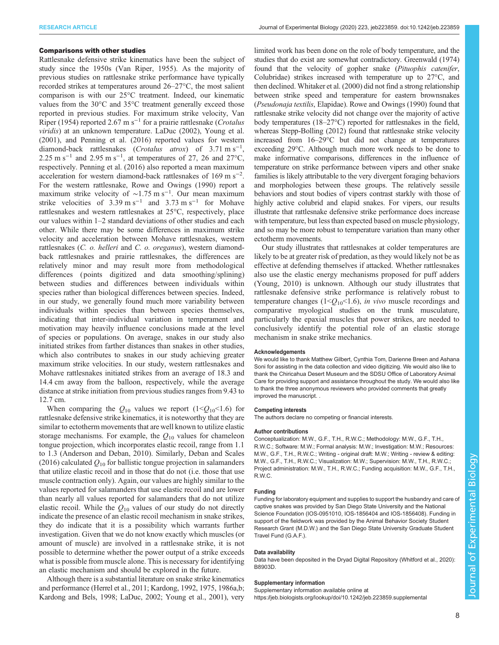## Comparisons with other studies

Rattlesnake defensive strike kinematics have been the subject of study since the 1950s ([Van Riper, 1955](#page-9-0)). As the majority of previous studies on rattlesnake strike performance have typically recorded strikes at temperatures around 26–27°C, the most salient comparison is with our 25°C treatment. Indeed, our kinematic values from the 30°C and 35°C treatment generally exceed those reported in previous studies. For maximum strike velocity, [Van](#page-9-0) [Riper \(1954\)](#page-9-0) reported 2.67 m s<sup>-1</sup> for a prairie rattlesnake (*Crotalus* viridis) at an unknown temperature. [LaDuc \(2002\)](#page-8-0), [Young et al.](#page-9-0) [\(2001\)](#page-9-0), and [Penning et al. \(2016\)](#page-8-0) reported values for western diamond-back rattlesnakes (Crotalus atrox) of  $3.71 \text{ m s}^{-1}$ , 2.25 m s<sup>-1</sup> and 2.95 m s<sup>-1</sup>, at temperatures of 27, 26 and 27°C, respectively. [Penning et al. \(2016\)](#page-8-0) also reported a mean maximum acceleration for western diamond-back rattlesnakes of 169 m s−<sup>2</sup> . For the western rattlesnake, [Rowe and Owings \(1990\)](#page-8-0) report a maximum strike velocity of ~1.75 m s<sup>-1</sup>. Our mean maximum strike velocities of  $3.39 \text{ m s}^{-1}$  and  $3.73 \text{ m s}^{-1}$  for Mohave rattlesnakes and western rattlesnakes at 25°C, respectively, place our values within 1–2 standard deviations of other studies and each other. While there may be some differences in maximum strike velocity and acceleration between Mohave rattlesnakes, western rattlesnakes (C. o. helleri and C. o. oreganus), western diamondback rattlesnakes and prairie rattlesnakes, the differences are relatively minor and may result more from methodological differences ( points digitized and data smoothing/splining) between studies and differences between individuals within species rather than biological differences between species. Indeed, in our study, we generally found much more variability between individuals within species than between species themselves, indicating that inter-individual variation in temperament and motivation may heavily influence conclusions made at the level of species or populations. On average, snakes in our study also initiated strikes from farther distances than snakes in other studies, which also contributes to snakes in our study achieving greater maximum strike velocities. In our study, western rattlesnakes and Mohave rattlesnakes initiated strikes from an average of 18.3 and 14.4 cm away from the balloon, respectively, while the average distance at strike initiation from previous studies ranges from 9.43 to 12.7 cm.

When comparing the  $Q_{10}$  values we report (1< $Q_{10}$ <1.6) for rattlesnake defensive strike kinematics, it is noteworthy that they are similar to ectotherm movements that are well known to utilize elastic storage mechanisms. For example, the  $Q_{10}$  values for chameleon tongue projection, which incorporates elastic recoil, range from 1.1 to 1.3 ([Anderson and Deban, 2010\)](#page-8-0). Similarly, [Deban and Scales](#page-8-0) [\(2016\)](#page-8-0) calculated  $Q_{10}$  for ballistic tongue projection in salamanders that utilize elastic recoil and in those that do not (i.e. those that use muscle contraction only). Again, our values are highly similar to the values reported for salamanders that use elastic recoil and are lower than nearly all values reported for salamanders that do not utilize elastic recoil. While the  $Q_{10}$  values of our study do not directly indicate the presence of an elastic recoil mechanism in snake strikes, they do indicate that it is a possibility which warrants further investigation. Given that we do not know exactly which muscles (or amount of muscle) are involved in a rattlesnake strike, it is not possible to determine whether the power output of a strike exceeds what is possible from muscle alone. This is necessary for identifying an elastic mechanism and should be explored in the future.

Although there is a substantial literature on snake strike kinematics and performance ([Herrel et al., 2011; Kardong, 1992](#page-8-0), [1975](#page-8-0), [1986a](#page-8-0),[b](#page-8-0); [Kardong and Bels, 1998; LaDuc, 2002](#page-8-0); [Young et al., 2001](#page-9-0)), very

limited work has been done on the role of body temperature, and the studies that do exist are somewhat contradictory. [Greenwald \(1974\)](#page-8-0) found that the velocity of gopher snake (Pituophis catenifer, Colubridae) strikes increased with temperature up to 27°C, and then declined. [Whitaker et al. \(2000\)](#page-9-0) did not find a strong relationship between strike speed and temperature for eastern brownsnakes (Pseudonaja textilis, Elapidae). [Rowe and Owings \(1990\)](#page-8-0) found that rattlesnake strike velocity did not change over the majority of active body temperatures (18–27°C) reported for rattlesnakes in the field, whereas [Stepp-Bolling \(2012\)](#page-8-0) found that rattlesnake strike velocity increased from 16–29°C but did not change at temperatures exceeding 29°C. Although much more work needs to be done to make informative comparisons, differences in the influence of temperature on strike performance between vipers and other snake families is likely attributable to the very divergent foraging behaviors and morphologies between these groups. The relatively sessile behaviors and stout bodies of vipers contrast starkly with those of highly active colubrid and elapid snakes. For vipers, our results illustrate that rattlesnake defensive strike performance does increase with temperature, but less than expected based on muscle physiology, and so may be more robust to temperature variation than many other ectotherm movements.

Our study illustrates that rattlesnakes at colder temperatures are likely to be at greater risk of predation, as they would likely not be as effective at defending themselves if attacked. Whether rattlesnakes also use the elastic energy mechanisms proposed for puff adders [\(Young, 2010\)](#page-9-0) is unknown. Although our study illustrates that rattlesnake defensive strike performance is relatively robust to temperature changes ( $1 \leq Q_{10} \leq 1.6$ ), *in vivo* muscle recordings and comparative myological studies on the trunk musculature, particularly the epaxial muscles that power strikes, are needed to conclusively identify the potential role of an elastic storage mechanism in snake strike mechanics.

## Acknowledgements

We would like to thank Matthew Gilbert, Cynthia Tom, Darienne Breen and Ashana Soni for assisting in the data collection and video digitizing. We would also like to thank the Chiricahua Desert Museum and the SDSU Office of Laboratory Animal Care for providing support and assistance throughout the study. We would also like to thank the three anonymous reviewers who provided comments that greatly improved the manuscript. .

#### Competing interests

The authors declare no competing or financial interests.

#### Author contributions

Conceptualization: M.W., G.F., T.H., R.W.C.; Methodology: M.W., G.F., T.H., R.W.C.; Software: M.W.; Formal analysis: M.W.; Investigation: M.W.; Resources: M.W., G.F., T.H., R.W.C.; Writing - original draft: M.W.; Writing - review & editing: M.W., G.F., T.H., R.W.C.; Visualization: M.W.; Supervision: M.W., T.H., R.W.C.; Project administration: M.W., T.H., R.W.C.; Funding acquisition: M.W., G.F., T.H., R.W.C.

#### Funding

Funding for laboratory equipment and supplies to support the husbandry and care of captive snakes was provided by San Diego State University and the National Science Foundation (IOS-0951010, IOS-1856404 and IOS-1856408). Funding in support of the fieldwork was provided by the Animal Behavior Society Student Research Grant (M.D.W.) and the San Diego State University Graduate Student Travel Fund (G.A.F.).

#### Data availability

Data have been deposited in the Dryad Digital Repository ([Whitford et al., 2020\)](#page-9-0): [B8903D](https://doi.org/10.25338/B8903D ).

#### Supplementary information

Supplementary information available online at <https://jeb.biologists.org/lookup/doi/10.1242/jeb.223859.supplemental>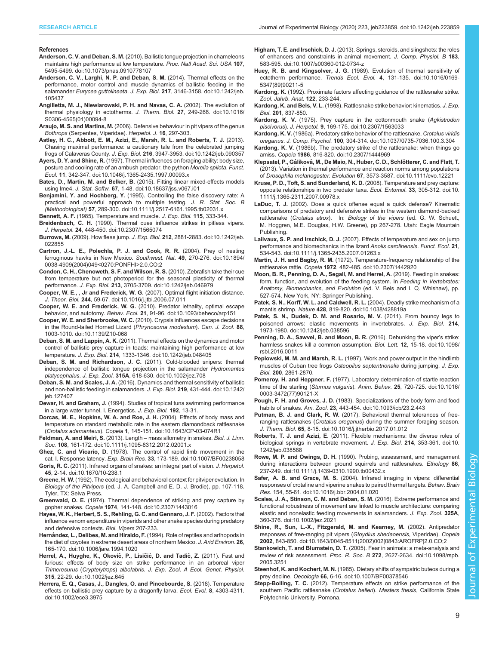#### <span id="page-8-0"></span>References

- Anderson, C. V. and Deban, S. M. [\(2010\). Ballistic tongue projection in chameleons](https://doi.org/10.1073/pnas.0910778107) [maintains high performance at low temperature.](https://doi.org/10.1073/pnas.0910778107) Proc. Natl Acad. Sci. USA 107, [5495-5499. doi:10.1073/pnas.0910778107](https://doi.org/10.1073/pnas.0910778107)
- [Anderson, C. V., Larghi, N. P. and Deban, S. M.](https://doi.org/10.1242/jeb.105437) (2014). Thermal effects on the [performance, motor control and muscle dynamics of ballistic feeding in the](https://doi.org/10.1242/jeb.105437) salamander Eurycea guttolineata. J. Exp. Biol. 217[, 3146-3158. doi:10.1242/jeb.](https://doi.org/10.1242/jeb.105437) [105437](https://doi.org/10.1242/jeb.105437)
- [Angilletta, M. J., Niewiarowski, P. H. and Navas, C. A.](https://doi.org/10.1016/S0306-4565(01)00094-8) (2002). The evolution of [thermal physiology in ectotherms.](https://doi.org/10.1016/S0306-4565(01)00094-8) J. Therm. Biol. 27, 249-268. doi:10.1016/ [S0306-4565\(01\)00094-8](https://doi.org/10.1016/S0306-4565(01)00094-8)
- Araujo, M. S. and Martins, M. (2006). Defensive behaviour in pit vipers of the genus Bothrops (Serpentes, Viperidae). Herpetol. J. 16, 297-303.
- [Astley, H. C., Abbott, E. M., Azizi, E., Marsh, R. L. and Roberts, T. J.](https://doi.org/10.1242/jeb.090357) (2013). [Chasing maximal performance: a cautionary tale from the celebrated jumping](https://doi.org/10.1242/jeb.090357) frogs of Calaveras County. J. Exp. Biol. 216[, 3947-3953. doi:10.1242/jeb.090357](https://doi.org/10.1242/jeb.090357)
- Ayers, D. Y. and Shine, R. [\(1997\). Thermal influences on foraging ability: body size,](https://doi.org/10.1046/j.1365-2435.1997.00093.x) [posture and cooling rate of an ambush predator, the python](https://doi.org/10.1046/j.1365-2435.1997.00093.x) Morelia spilota. Funct. Ecol. 11[, 342-347. doi:10.1046/j.1365-2435.1997.00093.x](https://doi.org/10.1046/j.1365-2435.1997.00093.x)
- Bates, D., Martin, M. and Belker, B. [\(2015\). Fitting linear mixed-effects models](https://doi.org/10.18637/jss.v067.i01) using lme4. J. Stat. Softw. 67[, 1-48. doi:10.18637/jss.v067.i01](https://doi.org/10.18637/jss.v067.i01)
- Benjamini, Y. and Hochberg, Y. [\(1995\). Controlling the false discovery rate: A](https://doi.org/10.1111/j.2517-6161.1995.tb02031.x) [practical and powerful approach to multiple testing.](https://doi.org/10.1111/j.2517-6161.1995.tb02031.x) J. R. Stat. Soc. B (Methodological) 57[, 289-300. doi:10.1111/j.2517-6161.1995.tb02031.x](https://doi.org/10.1111/j.2517-6161.1995.tb02031.x)
- Bennett, A. F. (1985). Temperature and muscle. J. Exp. Biol. 115, 333-344.
- Breidenbach, C. H. [\(1990\). Thermal cues influence strikes in pitless vipers.](https://doi.org/10.2307/1565074) J. Herpetol. 24[, 448-450. doi:10.2307/1565074](https://doi.org/10.2307/1565074)
- Burrows, M. (2009). How fleas jump. J. Exp. Biol. 212[, 2881-2883. doi:10.1242/jeb.](https://doi.org/10.1242/jeb.022855) [022855](https://doi.org/10.1242/jeb.022855)
- [Cartron, J.-L. E., Polechla, P. J. and Cook, R. R.](https://doi.org/10.1894/0038-4909(2004)049%3C0270:PONFHI%3E2.0.CO;2) (2004). Prey of nesting [ferruginous hawks in New Mexico.](https://doi.org/10.1894/0038-4909(2004)049%3C0270:PONFHI%3E2.0.CO;2) Southwest. Nat. 49, 270-276. doi:10.1894/ [0038-4909\(2004\)049<0270:PONFHI>2.0.CO;2](https://doi.org/10.1894/0038-4909(2004)049%3C0270:PONFHI%3E2.0.CO;2)
- [Condon, C. H., Chenoweth, S. F. and Wilson, R. S.](https://doi.org/10.1242/jeb.046979) (2010). Zebrafish take their cue [from temperature but not photoperiod for the seasonal plasticity of thermal](https://doi.org/10.1242/jeb.046979) performance. J. Exp. Biol. 213[, 3705-3709. doi:10.1242/jeb.046979](https://doi.org/10.1242/jeb.046979)
- [Cooper, W. E., , Jr and Frederick, W. G.](https://doi.org/10.1016/j.jtbi.2006.07.011) (2007). Optimal flight initiation distance. J. Theor. Biol. 244[, 59-67. doi:10.1016/j.jtbi.2006.07.011](https://doi.org/10.1016/j.jtbi.2006.07.011)
- Cooper, W. E. and Frederick, W. G. [\(2010\). Predator lethality, optimal escape](https://doi.org/10.1093/beheco/arp151) behavior, and autotomy. Behav. Ecol. 21[, 91-96. doi:10.1093/beheco/arp151](https://doi.org/10.1093/beheco/arp151)
- Cooper, W. E. and Sherbrooke, W. C. [\(2010\). Crypsis influences escape decisions](https://doi.org/10.1139/Z10-068) [in the Round-tailed Horned Lizard \(](https://doi.org/10.1139/Z10-068)Phrynosoma modestum). Can. J. Zool. 88, [1003-1010. doi:10.1139/Z10-068](https://doi.org/10.1139/Z10-068)
- Deban, S. M. and Lappin, A. K. [\(2011\). Thermal effects on the dynamics and motor](https://doi.org/10.1242/jeb.048405) [control of ballistic prey capture in toads: maintaining high performance at low](https://doi.org/10.1242/jeb.048405) temperature. J. Exp. Biol. 214[, 1333-1346. doi:10.1242/jeb.048405](https://doi.org/10.1242/jeb.048405)
- [Deban, S. M. and Richardson, J. C.](https://doi.org/10.1002/jez.708) (2011). Cold-blooded snipers: thermal [independence of ballistic tongue projection in the salamander](https://doi.org/10.1002/jez.708) Hydromantes platycephalus. J. Exp. Zool. 315A[, 618-630. doi:10.1002/jez.708](https://doi.org/10.1002/jez.708)
- Deban, S. M. and Scales, J. A. [\(2016\). Dynamics and thermal sensitivity of ballistic](https://doi.org/10.1242/jeb.127407) [and non-ballistic feeding in salamanders.](https://doi.org/10.1242/jeb.127407) J. Exp. Biol. 219, 431-444. doi:10.1242/ [jeb.127407](https://doi.org/10.1242/jeb.127407)
- Dewar, H. and Graham, J. (1994). Studies of tropical tuna swimming performance in a large water tunnel. I. Energetics. J. Exp. Biol. 192, 13-31.
- [Dorcas, M. E., Hopkins, W. A. and Roe, J. H.](https://doi.org/10.1643/CP-03-074R1) (2004). Effects of body mass and [temperature on standard metabolic rate in the eastern diamondback rattlesnake](https://doi.org/10.1643/CP-03-074R1) (Crotalus adamanteus). Copeia 1[, 145-151. doi:10.1643/CP-03-074R1](https://doi.org/10.1643/CP-03-074R1)
- [Feldman, A. and Meiri, S.](https://doi.org/10.1111/j.1095-8312.2012.02001.x) (2013). Length mass allometry in snakes. Biol. J. Linn. Soc. 108[, 161-172. doi:10.1111/j.1095-8312.2012.02001.x](https://doi.org/10.1111/j.1095-8312.2012.02001.x)
- Ghez, C. and Vicario, D. [\(1978\). The control of rapid limb movement in the](https://doi.org/10.1007/BF00238058) cat. I. Response latency. Exp. Brain Res. 33[, 173-189. doi:10.1007/BF00238058](https://doi.org/10.1007/BF00238058)
- Goris, R. C. [\(2011\). Infrared organs of snakes: an integral part of vision.](https://doi.org/10.1670/10-238.1) J. Herpetol. 45[, 2-14. doi:10.1670/10-238.1](https://doi.org/10.1670/10-238.1)
- Greene, H. W. (1992). The ecological and behavioral context for pitviper evolution. In Biology of the Pitvipers (ed. J. A. Campbell and E. D. J. Brodie), pp. 107-118. Tyler, TX: Selva Press.
- Greenwald, O. E. [\(1974\). Thermal dependence of striking and prey capture by](https://doi.org/10.2307/1443016) gopher snakes. Copeia 1974[, 141-148. doi:10.2307/1443016](https://doi.org/10.2307/1443016)
- Hayes, W. K., Herbert, S. S., Rehling, G. C. and Gennaro, J. F. (2002). Factors that influence venom expenditure in viperids and other snake species during predatory and defensive contexts. Biol. Vipers 207-233.
- Hernández, L., Delibes, M. and Hiraldo, F. [\(1994\). Role of reptiles and arthopods in](https://doi.org/10.1006/jare.1994.1020) [the diet of coyotes in extreme desert areas of northern Mexico.](https://doi.org/10.1006/jare.1994.1020) J. Arid Environ. 26, [165-170. doi:10.1006/jare.1994.1020](https://doi.org/10.1006/jare.1994.1020)
- Herrel, A., Huyghe, K., Oković, P., Lisičić, D. and Tadić, Z. (2011). Fast and [furious: effects of body size on strike performance in an arboreal viper](https://doi.org/10.1002/jez.645) Trimeresurus (Cryptelytrops) albolabris. [J. Exp. Zool. A Ecol. Genet. Physiol.](https://doi.org/10.1002/jez.645) 315[, 22-29. doi:10.1002/jez.645](https://doi.org/10.1002/jez.645)
- [Herrera, E. Q., Casas, J., Dangles, O. and Pincebourde, S.](https://doi.org/10.1002/ece3.3975) (2018). Temperature [effects on ballistic prey capture by a dragonfly larva.](https://doi.org/10.1002/ece3.3975) Ecol. Evol. 8, 4303-4311. [doi:10.1002/ece3.3975](https://doi.org/10.1002/ece3.3975)
- Higham, T. E. and Irschick, D. J. [\(2013\). Springs, steroids, and slingshots: the roles](https://doi.org/10.1007/s00360-012-0734-z) [of enhancers and constraints in animal movement.](https://doi.org/10.1007/s00360-012-0734-z) J. Comp. Physiol. B 183, [583-595. doi:10.1007/s00360-012-0734-z](https://doi.org/10.1007/s00360-012-0734-z)
- Huey, R. B. and Kingsolver, J. G. [\(1989\). Evolution of thermal sensitivity of](https://doi.org/10.1016/0169-5347(89)90211-5) ectotherm performance. Trends Ecol. Evol. 4[, 131-135. doi:10.1016/0169-](https://doi.org/10.1016/0169-5347(89)90211-5) [5347\(89\)90211-5](https://doi.org/10.1016/0169-5347(89)90211-5)
- Kardong, K. (1992). Proximate factors affecting guidance of the rattlesnake strike. Zool. Jahrb. Anat. 122, 233-244.
- Kardong, K. and Bels, V. L. (1998). Rattlesnake strike behavior: kinematics. J. Exp. Biol. 201, 837-850.
- Kardong, K. V. [\(1975\). Prey capture in the cottonmouth snake \(](https://doi.org/10.2307/1563033)Agkistrodon piscivorus). J. Herpetol. 9[, 169-175. doi:10.2307/1563033](https://doi.org/10.2307/1563033)
- Kardong, K. V. [\(1986a\). Predatory strike behavior of the rattlesnake,](https://doi.org/10.1037/0735-7036.100.3.304) Crotalus viridis oreganus. J. Comp. Psychol. 100[, 304-314. doi:10.1037/0735-7036.100.3.304](https://doi.org/10.1037/0735-7036.100.3.304)
- Kardong, K. V. [\(1986b\). The predatory strike of the rattlesnake: when things go](https://doi.org/10.2307/1444969) amiss. Copeia 1986[, 816-820. doi:10.2307/1444969](https://doi.org/10.2307/1444969)
- Klepsatel, P., Gáliková, M., De Maio, N., Huber, C. D., Schlötterer, C. and Flatt, T. [\(2013\). Variation in thermal performance and reaction norms among populations](https://doi.org/10.1111/evo.12221) of Drosophila melanogaster. Evolution 67[, 3573-3587. doi:10.1111/evo.12221](https://doi.org/10.1111/evo.12221)
- [Kruse, P. D., Toft, S. and Sunderland, K. D.](https://doi.org/10.1111/j.1365-2311.2007.00978.x) (2008). Temperature and prey capture: [opposite relationships in two predator taxa.](https://doi.org/10.1111/j.1365-2311.2007.00978.x) Ecol. Entomol. 33, 305-312. doi:10. [1111/j.1365-2311.2007.00978.x](https://doi.org/10.1111/j.1365-2311.2007.00978.x)
- LaDuc, T. J. (2002). Does a quick offense equal a quick defense? Kinematic comparisons of predatory and defensive strikes in the western diamond-backed rattlesnake (Crotalus atrox). In: Biology of the vipers (ed. G. W. Schuett, M. Hoggren, M.E. Douglas, H.W. Greene), pp 267-278. Utah: Eagle Mountain Publishing.
- Lailvaux, S. P. and Irschick, D. J. [\(2007\). Effects of temperature and sex on jump](https://doi.org/10.1111/j.1365-2435.2007.01263.x) [performance and biomechanics in the lizard](https://doi.org/10.1111/j.1365-2435.2007.01263.x) Anolis carolinensis. Funct. Ecol. 21, [534-543. doi:10.1111/j.1365-2435.2007.01263.x](https://doi.org/10.1111/j.1365-2435.2007.01263.x)
- Martin, J. H. and Bagby, R. M. [\(1972\). Temperature-frequency relationship of the](https://doi.org/10.2307/1442920) rattlesnake rattle. Copeia 1972[, 482-485. doi:10.2307/1442920](https://doi.org/10.2307/1442920)
- Moon, B. R., Penning, D. A., Segall, M. and Herrel, A. (2019). Feeding in snakes: form, function, and evolution of the feeding system. In Feeding in Vertebrates: Anatomy, Biomechanics, and Evolution (ed. V. Bels and I. Q. Whishaw), pp. 527-574. New York, NY: Springer Publishing.
- [Patek, S. N., Korff, W. L. and Caldwell, R. L.](https://doi.org/10.1038/428819a) (2004). Deadly strike mechanism of a mantis shrimp. Nature 428[, 819-820. doi:10.1038/428819a](https://doi.org/10.1038/428819a)
- [Patek, S. N., Dudek, D. M. and Rosario, M. V.](https://doi.org/10.1242/jeb.038596) (2011). From bouncy legs to [poisoned arrows: elastic movements in invertebrates.](https://doi.org/10.1242/jeb.038596) J. Exp. Biol. 214, [1973-1980. doi:10.1242/jeb.038596](https://doi.org/10.1242/jeb.038596)
- [Penning, D. A., Sawvel, B. and Moon, B. R.](https://doi.org/10.1098/rsbl.2016.0011) (2016). Debunking the viper's strike: [harmless snakes kill a common assumption.](https://doi.org/10.1098/rsbl.2016.0011) Biol. Lett. 12, 15-18. doi:10.1098/ [rsbl.2016.0011](https://doi.org/10.1098/rsbl.2016.0011)
- Peplowski, M. M. and Marsh, R. L. (1997). Work and power output in the hindlimb muscles of Cuban tree frogs Osteopilus septentrionalis during jumping. J. Exp. Biol. 200, 2861-2870.
- Pomeroy, H. and Heppner, F. [\(1977\). Laboratory determination of startle reaction](https://doi.org/10.1016/0003-3472(77)90121-X) time of the starling (Sturnus vulgaris). Anim. Behav. 25[, 720-725. doi:10.1016/](https://doi.org/10.1016/0003-3472(77)90121-X) [0003-3472\(77\)90121-X](https://doi.org/10.1016/0003-3472(77)90121-X)
- Pough, F. H. and Groves, J. D. [\(1983\). Specializations of the body form and food](https://doi.org/10.1093/icb/23.2.443) habits of snakes. Am. Zool. 23[, 443-454. doi:10.1093/icb/23.2.443](https://doi.org/10.1093/icb/23.2.443)
- Putman, B. J. and Clark, R. W. [\(2017\). Behavioral thermal tolerances of free](https://doi.org/10.1016/j.jtherbio.2017.01.012)ranging rattlesnakes (Crotalus oreganus[\) during the summer foraging season.](https://doi.org/10.1016/j.jtherbio.2017.01.012) J. Therm. Biol. 65[, 8-15. doi:10.1016/j.jtherbio.2017.01.012](https://doi.org/10.1016/j.jtherbio.2017.01.012)
- Roberts, T. J. and Azizi, E. [\(2011\). Flexible mechanisms: the diverse roles of](https://doi.org/10.1242/jeb.038588) [biological springs in vertebrate movement.](https://doi.org/10.1242/jeb.038588) J. Exp. Biol. 214, 353-361. doi:10. [1242/jeb.038588](https://doi.org/10.1242/jeb.038588)
- Rowe, M. P. and Owings, D. H. [\(1990\). Probing, assessment, and management](https://doi.org/10.1111/j.1439-0310.1990.tb00432.x) [during interactions between ground squirrels and rattlesnakes.](https://doi.org/10.1111/j.1439-0310.1990.tb00432.x) Ethology 86, [237-249. doi:10.1111/j.1439-0310.1990.tb00432.x](https://doi.org/10.1111/j.1439-0310.1990.tb00432.x)
- Safer, A. B. and Grace, M. S. [\(2004\). Infrared imaging in vipers: differential](https://doi.org/10.1016/j.bbr.2004.01.020) [responses of crotaline and viperine snakes to paired thermal targets.](https://doi.org/10.1016/j.bbr.2004.01.020) Behav. Brain Res. [154, 55-61. doi:10.1016/j.bbr.2004.01.020](https://doi.org/10.1016/j.bbr.2004.01.020)
- [Scales, J. A., Stinson, C. M. and Deban, S. M.](https://doi.org/10.1002/jez.2021) (2016). Extreme performance and [functional robustness of movement are linked to muscle architecture: comparing](https://doi.org/10.1002/jez.2021) [elastic and nonelastic feeding movements in salamanders.](https://doi.org/10.1002/jez.2021) J. Exp. Zool. 325A, [360-376. doi:10.1002/jez.2021](https://doi.org/10.1002/jez.2021)
- [Shine, R., Sun, L.-X., Fitzgerald, M. and Kearney, M.](https://doi.org/10.1643/0045-8511(2002)002[0843:AROFRP]2.0.CO;2) (2002). Antipredator [responses of free-ranging pit vipers \(](https://doi.org/10.1643/0045-8511(2002)002[0843:AROFRP]2.0.CO;2)Gloydius shedaoensis, Viperidae). Copeia 2002[, 843-850. doi:10.1643/0045-8511\(2002\)002\[0843:AROFRP\]2.0.CO;2](https://doi.org/10.1643/0045-8511(2002)002[0843:AROFRP]2.0.CO;2)
- Stankowich, T. and Blumstein, D. T. [\(2005\). Fear in animals: a meta-analysis and](https://doi.org/10.1098/rspb.2005.3251) review of risk assessment. Proc. R. Soc. B 272[, 2627-2634. doi:10.1098/rspb.](https://doi.org/10.1098/rspb.2005.3251) [2005.3251](https://doi.org/10.1098/rspb.2005.3251)
- Steenhof, K. and Kochert, M. N. [\(1985\). Dietary shifts of sympatric buteos during a](https://doi.org/10.1007/BF00378546) prey decline. Oecologia 66[, 6-16. doi:10.1007/BF00378546](https://doi.org/10.1007/BF00378546)
- Stepp-Bolling, T. C. (2012). Temperature effects on strike performance of the southern Pacific rattlesnake (Crotalus helleri). Masters thesis, California State Polytechnic University, Pomona.

lo ol Biok

Experimental